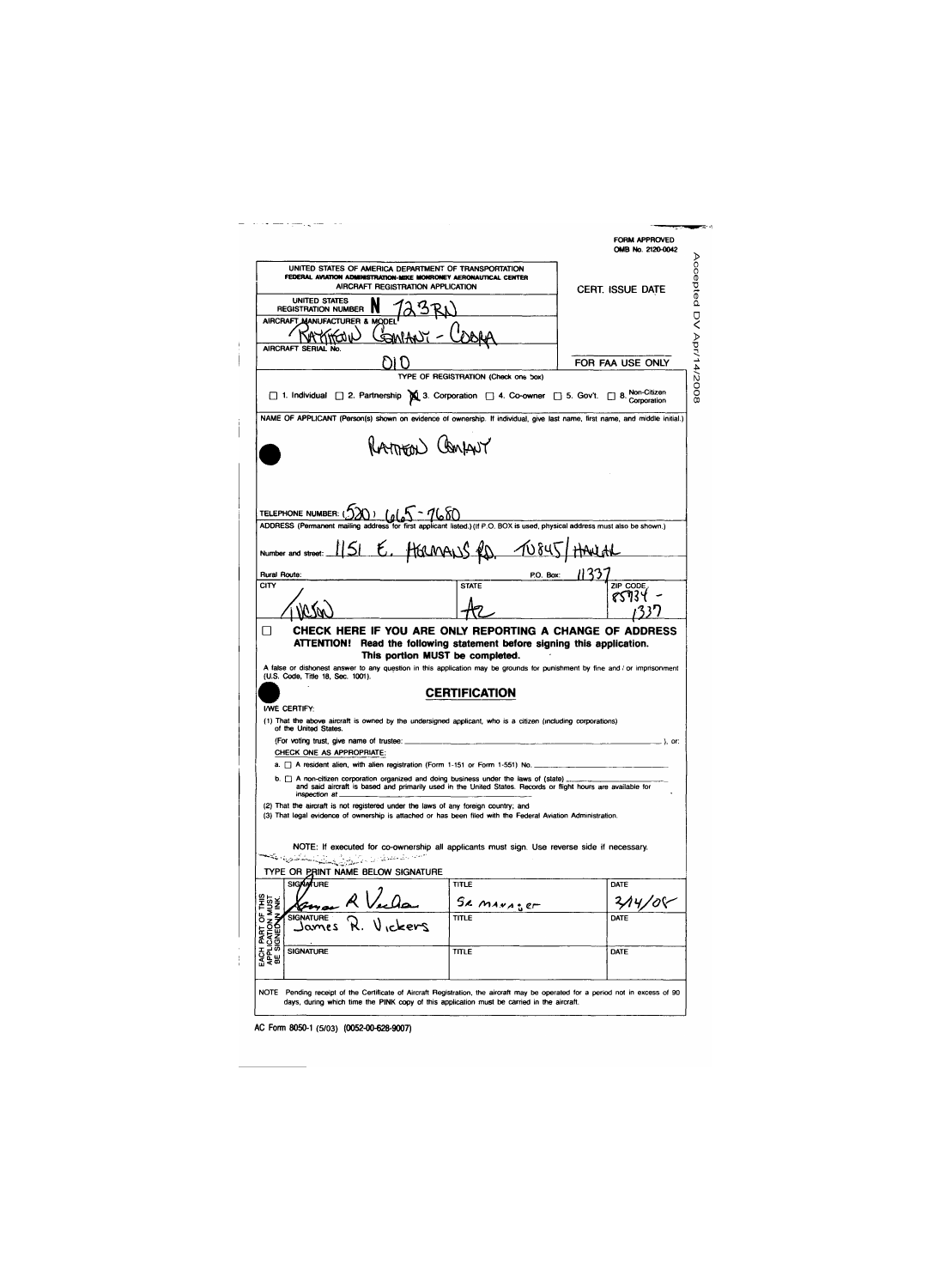|                                                                                                                                                                                                                                                                                                                                                                                                                                                                                             |                                      | FORM APPROVED<br>OMB No. 2120-0042 |
|---------------------------------------------------------------------------------------------------------------------------------------------------------------------------------------------------------------------------------------------------------------------------------------------------------------------------------------------------------------------------------------------------------------------------------------------------------------------------------------------|--------------------------------------|------------------------------------|
| UNITED STATES OF AMERICA DEPARTMENT OF TRANSPORTATION<br>FEDERAL AVIATION ADMINISTRATION-MIKE MONRONEY AERONAUTICAL CENTER<br>AIRCRAFT REGISTRATION APPLICATION                                                                                                                                                                                                                                                                                                                             |                                      | <b>CERT. ISSUE DATE</b>            |
| <b>UNITED STATES</b><br><b>REGISTRATION NUMBER</b>                                                                                                                                                                                                                                                                                                                                                                                                                                          |                                      |                                    |
| AIRCRAFT MANUFACTURER &<br><b>MODE</b>                                                                                                                                                                                                                                                                                                                                                                                                                                                      |                                      |                                    |
| AIRCRAFT SERIAL No.                                                                                                                                                                                                                                                                                                                                                                                                                                                                         |                                      | FOR FAA USE ONLY                   |
| □ 1. Individual □ 2. Partnership 1. S. Corporation □ 4. Co-owner □ 5. Gov't. □ 8. Corporation                                                                                                                                                                                                                                                                                                                                                                                               | TYPE OF REGISTRATION (Check one box) |                                    |
| NAME OF APPLICANT (Person(s) shown on evidence of ownership. If individual, give last name, first name, and middle initial.)                                                                                                                                                                                                                                                                                                                                                                |                                      |                                    |
| RAMEON Confrut                                                                                                                                                                                                                                                                                                                                                                                                                                                                              |                                      |                                    |
| TELEPHONE NUMBER: (220) $(a/a5 - 7680)$<br>ADDRESS (Permanent mailing address for first applicant listed.) (If P.O. BOX is used, physical address must also be shown.)                                                                                                                                                                                                                                                                                                                      |                                      |                                    |
| 1151 E. HERMANS RD<br>Number and street                                                                                                                                                                                                                                                                                                                                                                                                                                                     | $-10845$                             |                                    |
| Rural Route:                                                                                                                                                                                                                                                                                                                                                                                                                                                                                | P.O. Box:                            |                                    |
|                                                                                                                                                                                                                                                                                                                                                                                                                                                                                             |                                      |                                    |
|                                                                                                                                                                                                                                                                                                                                                                                                                                                                                             | <b>STATE</b>                         | ZIP CODE                           |
| CITY<br>CHECK HERE IF YOU ARE ONLY REPORTING A CHANGE OF ADDRESS                                                                                                                                                                                                                                                                                                                                                                                                                            |                                      |                                    |
| ATTENTION! Read the following statement before signing this application.                                                                                                                                                                                                                                                                                                                                                                                                                    | This portion MUST be completed.      |                                    |
|                                                                                                                                                                                                                                                                                                                                                                                                                                                                                             | CERTIFICATION                        |                                    |
| of the United States.                                                                                                                                                                                                                                                                                                                                                                                                                                                                       |                                      |                                    |
| (For voting trust, give name of trustee:                                                                                                                                                                                                                                                                                                                                                                                                                                                    |                                      | . ), or:                           |
| CHECK ONE AS APPROPRIATE:                                                                                                                                                                                                                                                                                                                                                                                                                                                                   |                                      |                                    |
| A false or dishonest answer to any question in this application may be grounds for punishment by fine and / or imprisonment<br>(U.S. Code, Title 18, Sec. 1001).<br>INVE CERTIFY:<br>(1) That the above aircraft is owned by the undersigned applicant, who is a citizen (including corporations)<br>a. <sup>1</sup> A resident alien, with alien registration (Form 1-151 or Form 1-551) No.<br>b. $\Box$ A non-citizen corporation organized and doing business under the laws of (state) |                                      |                                    |
| and said aircraft is based and primarily used in the United States. Records or flight hours are available for<br>inspection at<br>(2) That the aircraft is not registered under the laws of any foreign country; and                                                                                                                                                                                                                                                                        |                                      |                                    |
|                                                                                                                                                                                                                                                                                                                                                                                                                                                                                             |                                      |                                    |
| NOTE: If executed for co-ownership all applicants must sign. Use reverse side if necessary.                                                                                                                                                                                                                                                                                                                                                                                                 |                                      |                                    |
| <b>SIGAA/TURE</b>                                                                                                                                                                                                                                                                                                                                                                                                                                                                           |                                      |                                    |
|                                                                                                                                                                                                                                                                                                                                                                                                                                                                                             | TITLE<br>Se marager                  | DATE                               |
| <b>SIGNATURE</b><br>ssmol                                                                                                                                                                                                                                                                                                                                                                                                                                                                   | TITLE                                | DATE                               |
| (3) That legal evidence of ownership is attached or has been filed with the Federal Aviation Administration.<br>مستحدث والمتعاني والمراكبين والمتحال والمستكفيات فكالمحا<br>TYPE OR PRINT NAME BELOW SIGNATURE<br>EACH PART OF THIS<br>APPLICATION MUST<br>BE SIGNED VINK.<br>SIGNATURE                                                                                                                                                                                                     | TITLE                                | DATE                               |

AC Form 8050-1 (5/03) (0052-00-628-9007)

 $\frac{1}{4}$ 

 $\top$  $\mathbf{j}$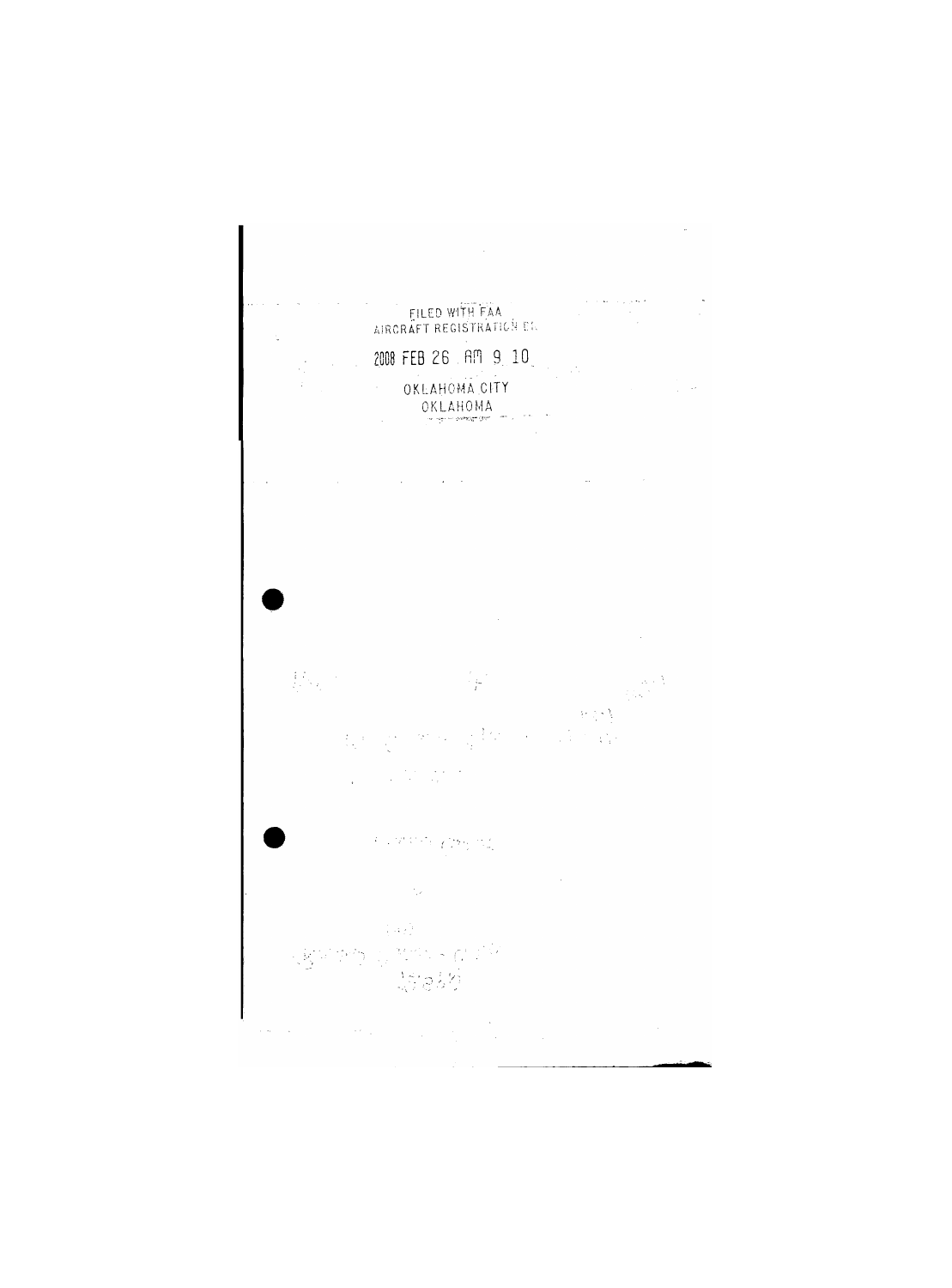

 $\mathcal{L} = \mathcal{L}$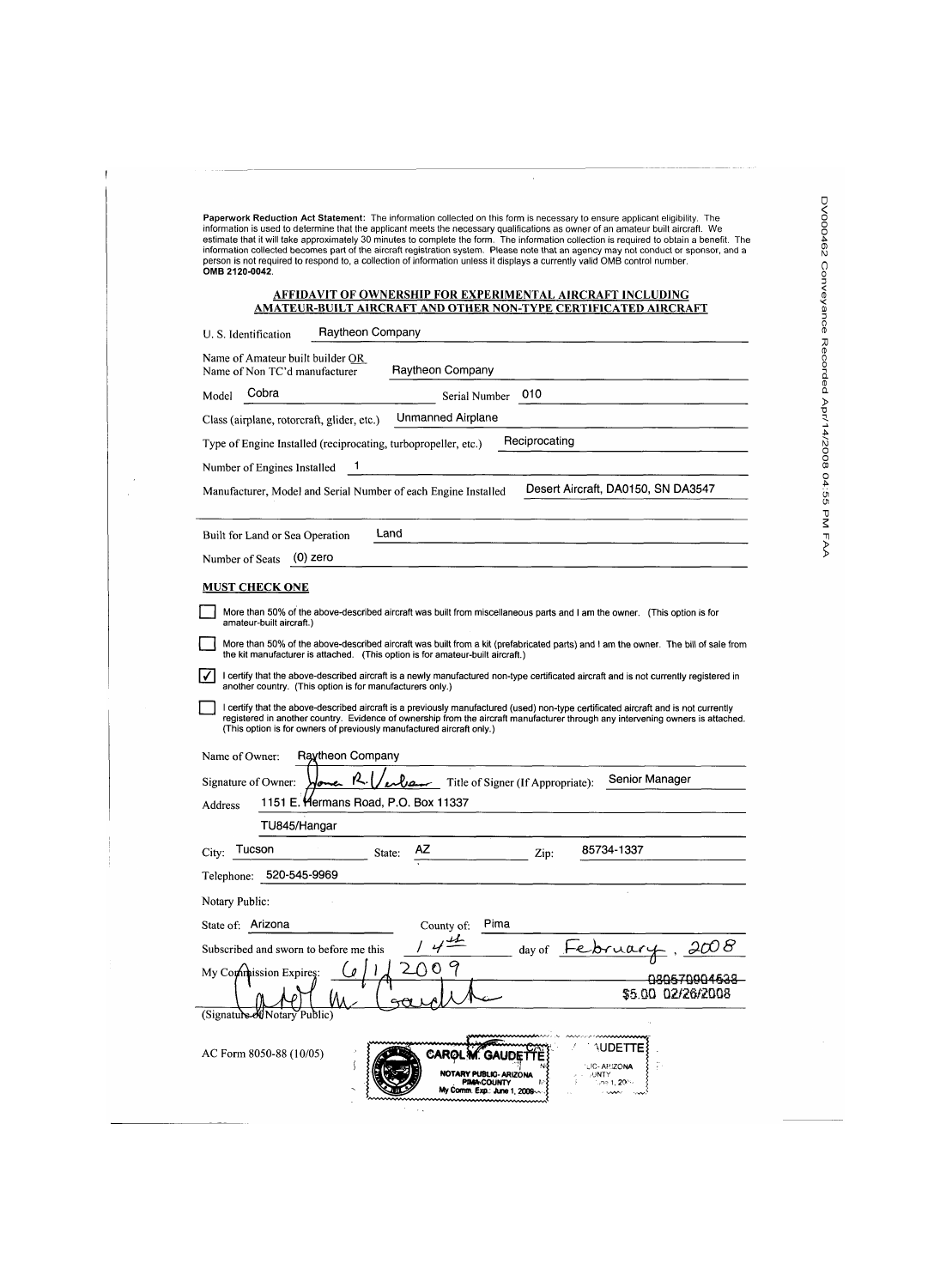Paperwork Reduction Act Statement: The information collected on this form is necessary to ensure applicant eligibility. The information is used to determine that the applicant meets the necessary qualifications as owner of an amateur built aircraft. We estimate that it will take approximately 30 minutes to complete the form. The information collection is required to obtain a benefit. The information collected becomes part of the aircraft registration system. Please note that an agency may not conduct or sponsor, and a person is not required to respond to, a collection of information unless it displays a currently valid OMB control number. OMB 2120-0042.

 $\bar{\alpha}$ 

## **AFFIDAVIT OF OWNERSHIP FOR EXPERIMENTAL AIRCRAFT INCLUDING AMATEUR-BUILT AIRCRAFT AND OTHER NON-TYPE CERTIFICATED AIRCRAFT**

| Raytheon Company<br>U. S. Identification                                                                                                                                                                                                                                                                                                        |  |
|-------------------------------------------------------------------------------------------------------------------------------------------------------------------------------------------------------------------------------------------------------------------------------------------------------------------------------------------------|--|
| Name of Amateur built builder OR<br>Raytheon Company<br>Name of Non TC'd manufacturer                                                                                                                                                                                                                                                           |  |
| Cobra<br>010<br>Model<br>Serial Number                                                                                                                                                                                                                                                                                                          |  |
| <b>Unmanned Airplane</b><br>Class (airplane, rotorcraft, glider, etc.)                                                                                                                                                                                                                                                                          |  |
| Reciprocating<br>Type of Engine Installed (reciprocating, turbopropeller, etc.)                                                                                                                                                                                                                                                                 |  |
| 1<br>Number of Engines Installed                                                                                                                                                                                                                                                                                                                |  |
| Desert Aircraft, DA0150, SN DA3547<br>Manufacturer, Model and Serial Number of each Engine Installed                                                                                                                                                                                                                                            |  |
| Land<br>Built for Land or Sea Operation                                                                                                                                                                                                                                                                                                         |  |
| $(0)$ zero<br>Number of Seats                                                                                                                                                                                                                                                                                                                   |  |
| <b>MUST CHECK ONE</b>                                                                                                                                                                                                                                                                                                                           |  |
| More than 50% of the above-described aircraft was built from miscellaneous parts and I am the owner. (This option is for<br>amateur-built aircraft.)                                                                                                                                                                                            |  |
| More than 50% of the above-described aircraft was built from a kit (prefabricated parts) and I am the owner. The bill of sale from<br>the kit manufacturer is attached. (This option is for amateur-built aircraft.)                                                                                                                            |  |
| I certify that the above-described aircraft is a newly manufactured non-type certificated aircraft and is not currently registered in<br>another country. (This option is for manufacturers only.)                                                                                                                                              |  |
| I certify that the above-described aircraft is a previously manufactured (used) non-type certificated aircraft and is not currently<br>registered in another country. Evidence of ownership from the aircraft manufacturer through any intervening owners is attached.<br>(This option is for owners of previously manufactured aircraft only.) |  |
| Name of Owner:<br>Raytheon Company                                                                                                                                                                                                                                                                                                              |  |
| Senior Manager<br>Jone R.<br>$\mu$ Title of Signer (If Appropriate):<br>Signature of Owner:                                                                                                                                                                                                                                                     |  |
| 1151 E. Hermans Road, P.O. Box 11337<br>Address                                                                                                                                                                                                                                                                                                 |  |
| TU845/Hangar                                                                                                                                                                                                                                                                                                                                    |  |
| ΑZ<br>85734-1337<br>Tucson<br>City:<br>State:<br>Zip:                                                                                                                                                                                                                                                                                           |  |
| 520-545-9969<br>Telephone:                                                                                                                                                                                                                                                                                                                      |  |
| Notary Public:                                                                                                                                                                                                                                                                                                                                  |  |
| Pima<br>State of: Arizona<br>County of:                                                                                                                                                                                                                                                                                                         |  |
| Subscribed and sworn to before me this<br>day of                                                                                                                                                                                                                                                                                                |  |
| My Commission Expires:                                                                                                                                                                                                                                                                                                                          |  |
| (Signature-ot)<br>√otarv F                                                                                                                                                                                                                                                                                                                      |  |
| DE I<br>AC Form 8050-88 (10/05)<br>CARØ<br><b>C-APIZONA</b><br>NOTARY PUBLIC- ARIZONA<br>,UNTY<br><b>PIMA COUNTY</b><br>.ne 1, <b>20</b> €%<br>My Comm. Exp.: June 1, 2009                                                                                                                                                                      |  |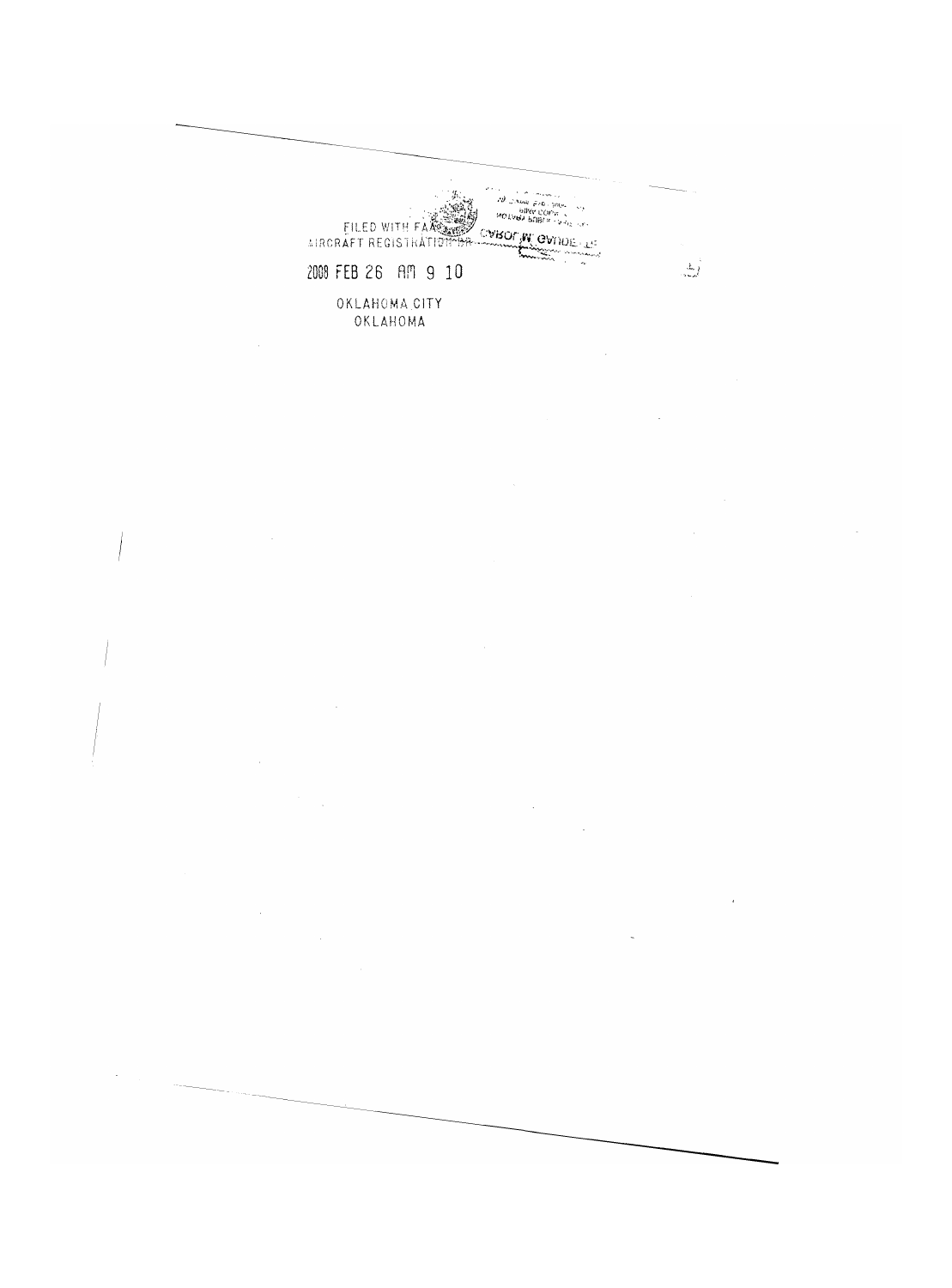$\label{eq:3} \begin{array}{ll} \mathcal{D}_{\mathcal{A}}(\mathcal{A}(\mathbf{u})) = \mathcal{A}(\mathcal{A}(\mathbf{u})) = \mathcal{A}(\mathcal{A}) \\ \mathcal{D}_{\mathcal{A}}(\mathcal{A}(\mathbf{u})) = \mathcal{A}(\mathcal{A}) = \mathcal{A}(\mathcal{A}) \\ \mathcal{B}(\mathbf{u}) = \mathcal{B}(\mathcal{A}(\mathcal{A})) = \mathcal{A}(\mathcal{A}) = \mathcal{A}(\mathcal{A}) \\ \mathcal{B}(\mathbf{u}) = \mathcal{B}(\mathcal{A}) = \mathcal{B}(\mathcal{A}) = \$ EILED WITH FAXE WAS CONSIDERED. ang pangkalang<br>Pangkalang 2008 FEB 26 AM 9 10 OKLAHOMA CITY<br>OKLAHOMA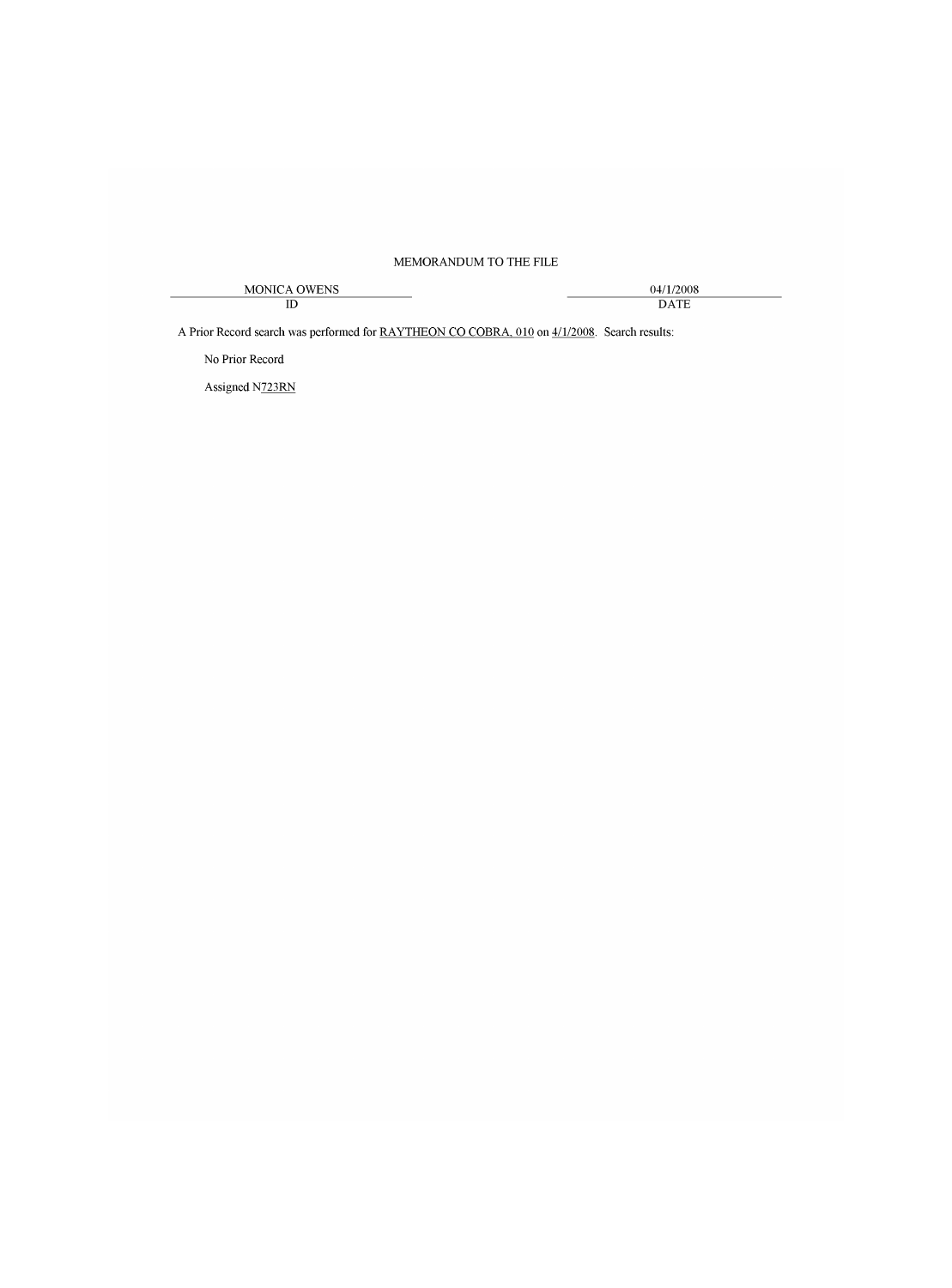## MEMORANDUM TO THE FILE

| OWENS         | /1/2008     |
|---------------|-------------|
| MONICA $\cap$ | .)4/        |
| ID            | <b>DATF</b> |

A Prior Record search was performed for RAYTHEON CO COBRA, 010 on 4/1/2008. Search results:

No Prior Record

Assigned N723RN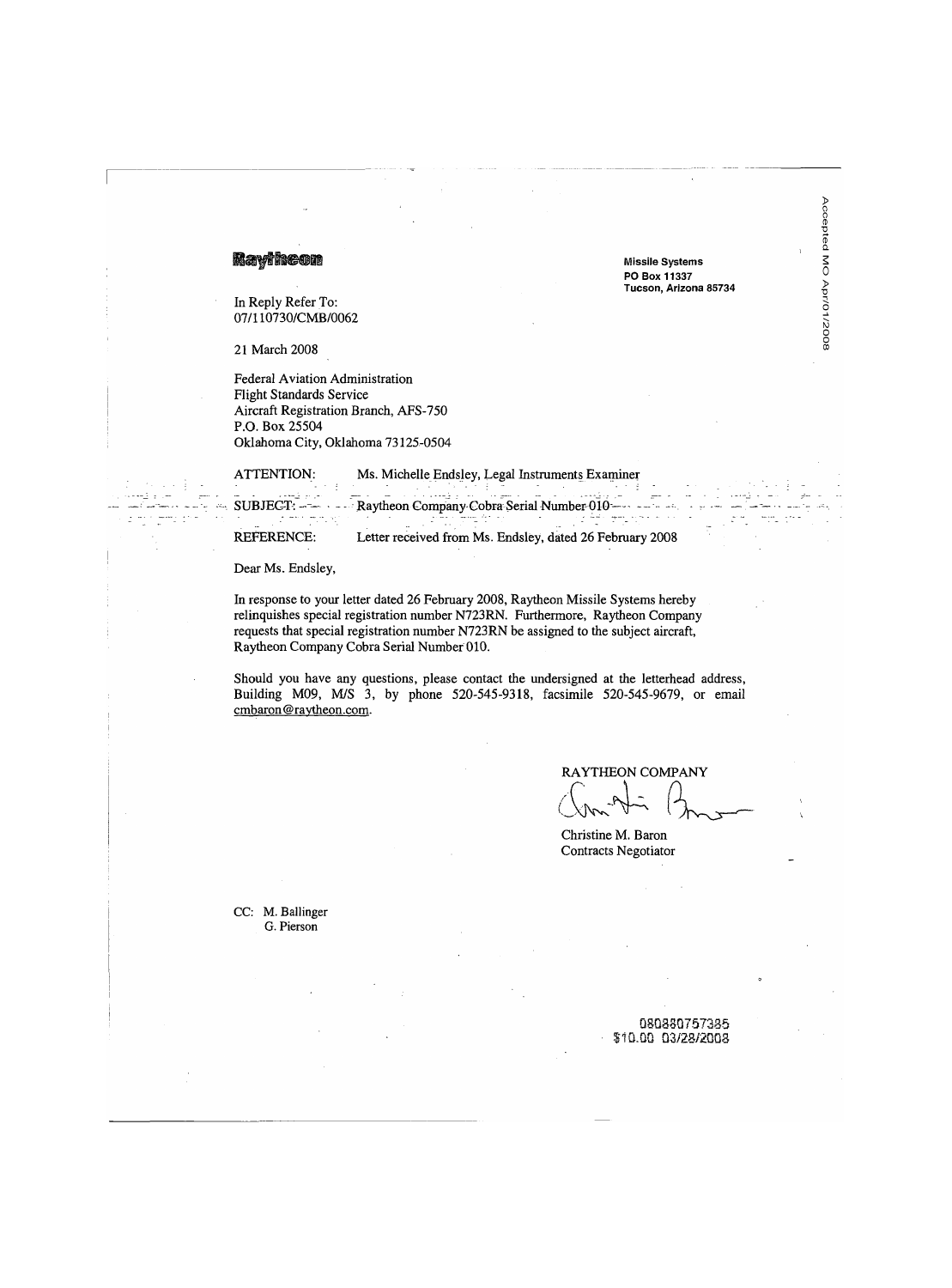Maytheon

In Reply Refer To: 07/110730/CMB/0062

21 March 2008

Federal Aviation Administration **Flight Standards Service** Aircraft Registration Branch, AFS-750 P.O. Box 25504 Oklahoma City, Oklahoma 73125-0504

ATTENTION: Ms. Michelle Endsley, Legal Instruments Examiner و الجارة<br>المالي والأولاد

 $SUBJECT:$   $-- ---$ 

## $\frac{1}{2}$  , where  $\frac{1}{2}$  and  $\frac{1}{2}$ المحمد للبيت الفقاعات.<br>المحمد المحمد المحمد المحمد المحمد المحمد ال 한도 없는 a Portug REFERENCE: Letter received from Ms. Endsley, dated 26 February 2008

Raytheon Company Cobra Serial Number 010 ----

Dear Ms. Endsley,

In response to your letter dated 26 February 2008, Raytheon Missile Systems hereby relinquishes special registration number N723RN. Furthermore, Raytheon Company requests that special registration number N723RN be assigned to the subject aircraft, Raytheon Company Cobra Serial Number 010.

Should you have any questions, please contact the undersigned at the letterhead address, Building M09, M/S 3, by phone 520-545-9318, facsimile 520-545-9679, or email cmbaron@raytheon.com.

**RAYTHEON COMPANY** 

**Missile Systems** PO Box 11337 Tucson, Arizona 85734 Accepted MO Apr/01/2008

Christine M. Baron Contracts Negotiator

CC: M. Ballinger G. Pierson

> 080880757385 \$10.00 03/28/2008